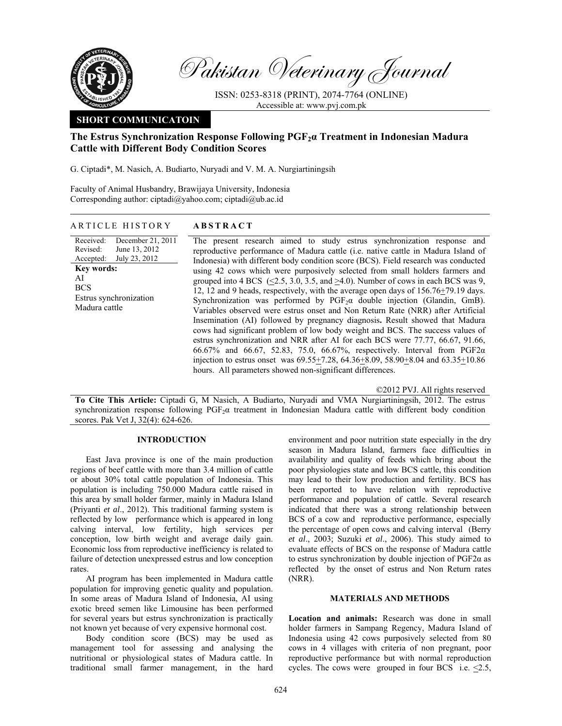

Pakistan Veterinary Journal

ISSN: 0253-8318 (PRINT), 2074-7764 (ONLINE) Accessible at: www.pvj.com.pk

## **SHORT COMMUNICATOIN**

# **The Estrus Synchronization Response Following PGF2α Treatment in Indonesian Madura Cattle with Different Body Condition Scores**

G. Ciptadi\*, M. Nasich, A. Budiarto, Nuryadi and V. M. A. Nurgiartiningsih

Faculty of Animal Husbandry, Brawijaya University, Indonesia Corresponding author: ciptadi@yahoo.com; ciptadi@ub.ac.id

## ARTICLE HISTORY **ABSTRACT**

Received: Revised: Accepted: December 21, 2011 June 13, 2012 July 23, 2012 **Key words:**  AI **BCS** Estrus synchronization Madura cattle

The present research aimed to study estrus synchronization response and reproductive performance of Madura cattle (i.e. native cattle in Madura Island of Indonesia) with different body condition score (BCS). Field research was conducted using 42 cows which were purposively selected from small holders farmers and grouped into 4 BCS ( $\leq$ 2.5, 3.0, 3.5, and  $\geq$ 4.0). Number of cows in each BCS was 9, 12, 12 and 9 heads, respectively, with the average open days of 156.76+79.19 days. Synchronization was performed by  $PGF<sub>2</sub>α$  double injection (Glandin, GmB). Variables observed were estrus onset and Non Return Rate (NRR) after Artificial Insemination (AI) followed by pregnancy diagnosis**.** Result showed that Madura cows had significant problem of low body weight and BCS. The success values of estrus synchronization and NRR after AI for each BCS were 77.77, 66.67, 91.66, 66.67% and 66.67, 52.83, 75.0, 66.67%, respectively. Interval from PGF2α injection to estrus onset was 69.55+7.28, 64.36+8.09, 58.90+8.04 and 63.35+10.86 hours. All parameters showed non-significant differences.

©2012 PVJ. All rights reserved

**To Cite This Article:** Ciptadi G, M Nasich, A Budiarto, Nuryadi and VMA Nurgiartiningsih, 2012. The estrus synchronization response following PGF<sub>2</sub>α treatment in Indonesian Madura cattle with different body condition scores. Pak Vet J, 32(4): 624-626.

## **INTRODUCTION**

East Java province is one of the main production regions of beef cattle with more than 3.4 million of cattle or about 30% total cattle population of Indonesia. This population is including 750.000 Madura cattle raised in this area by small holder farmer, mainly in Madura Island (Priyanti *et al*., 2012). This traditional farming system is reflected by low performance which is appeared in long calving interval, low fertility, high services per conception, low birth weight and average daily gain. Economic loss from reproductive inefficiency is related to failure of detection unexpressed estrus and low conception rates.

AI program has been implemented in Madura cattle population for improving genetic quality and population. In some areas of Madura Island of Indonesia, AI using exotic breed semen like Limousine has been performed for several years but estrus synchronization is practically not known yet because of very expensive hormonal cost.

Body condition score (BCS) may be used as management tool for assessing and analysing the nutritional or physiological states of Madura cattle. In traditional small farmer management, in the hard environment and poor nutrition state especially in the dry season in Madura Island, farmers face difficulties in availability and quality of feeds which bring about the poor physiologies state and low BCS cattle, this condition may lead to their low production and fertility. BCS has been reported to have relation with reproductive performance and population of cattle. Several research indicated that there was a strong relationship between BCS of a cow and reproductive performance, especially the percentage of open cows and calving interval (Berry *et al*., 2003; Suzuki *et al*., 2006). This study aimed to evaluate effects of BCS on the response of Madura cattle to estrus synchronization by double injection of PGF2α as reflected by the onset of estrus and Non Return rates (NRR).

### **MATERIALS AND METHODS**

**Location and animals:** Research was done in small holder farmers in Sampang Regency, Madura Island of Indonesia using 42 cows purposively selected from 80 cows in 4 villages with criteria of non pregnant, poor reproductive performance but with normal reproduction cycles. The cows were grouped in four BCS i.e. <2.5,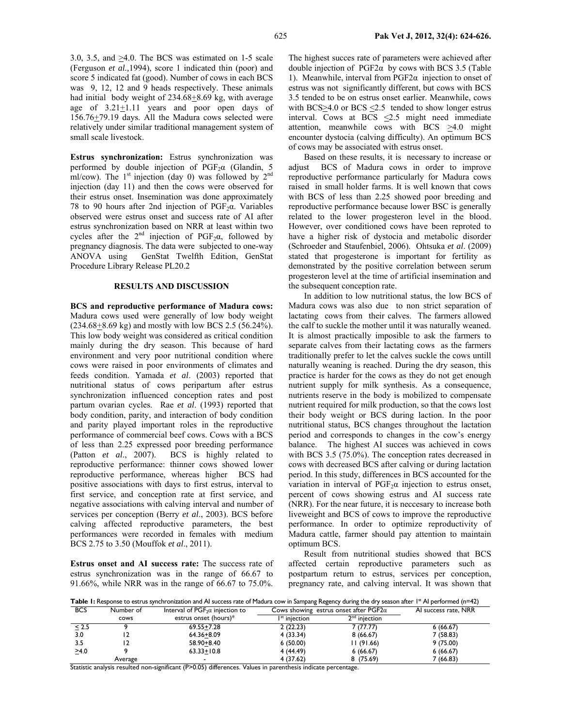3.0, 3.5, and >4.0. The BCS was estimated on 1-5 scale (Ferguson *et al.,*1994), score 1 indicated thin (poor) and score 5 indicated fat (good). Number of cows in each BCS was 9, 12, 12 and 9 heads respectively. These animals had initial body weight of 234.68 + 8.69 kg, with average age of  $3.21 \pm 1.11$  years and poor open days of 156.76+79.19 days. All the Madura cows selected were relatively under similar traditional management system of small scale livestock.

**Estrus synchronization:** Estrus synchronization was performed by double injection of  $PGF<sub>2</sub>α$  (Glandin, 5 ml/cow). The  $1<sup>st</sup>$  injection (day 0) was followed by  $2<sup>nd</sup>$ injection (day 11) and then the cows were observed for their estrus onset. Insemination was done approximately 78 to 90 hours after 2nd injection of  $PGF<sub>2</sub>\alpha$ . Variables observed were estrus onset and success rate of AI after estrus synchronization based on NRR at least within two cycles after the  $2<sup>nd</sup>$  injection of PGF<sub>2</sub> $\alpha$ , followed by pregnancy diagnosis. The data were subjected to one-way ANOVA using GenStat Twelfth Edition, GenStat Procedure Library Release PL20.2

### **RESULTS AND DISCUSSION**

**BCS and reproductive performance of Madura cows:**  Madura cows used were generally of low body weight  $(234.68 + 8.69 \text{ kg})$  and mostly with low BCS 2.5 (56.24%). This low body weight was considered as critical condition mainly during the dry season. This because of hard environment and very poor nutritional condition where cows were raised in poor environments of climates and feeds condition. Yamada *et al*. (2003) reported that nutritional status of cows peripartum after estrus synchronization influenced conception rates and post partum ovarian cycles. Rae *et al*. (1993) reported that body condition, parity, and interaction of body condition and parity played important roles in the reproductive performance of commercial beef cows. Cows with a BCS of less than 2.25 expressed poor breeding performance (Patton *et al*., 2007). BCS is highly related to reproductive performance: thinner cows showed lower reproductive performance, whereas higher BCS had positive associations with days to first estrus, interval to first service, and conception rate at first service, and negative associations with calving interval and number of services per conception (Berry *et al*., 2003). BCS before calving affected reproductive parameters, the best performances were recorded in females with medium BCS 2.75 to 3.50 (Mouffok *et al*., 2011).

**Estrus onset and AI success rate:** The success rate of estrus synchronization was in the range of 66.67 to 91.66%, while NRR was in the range of 66.67 to 75.0%.

The highest succes rate of parameters were achieved after double injection of PGF2α by cows with BCS 3.5 (Table 1). Meanwhile, interval from PGF2α injection to onset of estrus was not significantly different, but cows with BCS 3.5 tended to be on estrus onset earlier. Meanwhile, cows with BCS $\geq$ 4.0 or BCS  $\leq$ 2.5 tended to show longer estrus interval. Cows at BCS <2.5 might need immediate attention, meanwhile cows with BCS  $\geq 4.0$  might encounter dystocia (calving difficulty). An optimum BCS of cows may be associated with estrus onset.

Based on these results, it is necessary to increase or adjust BCS of Madura cows in order to improve reproductive performance particularly for Madura cows raised in small holder farms. It is well known that cows with BCS of less than 2.25 showed poor breeding and reproductive performance because lower BSC is generally related to the lower progesteron level in the blood. However, over conditioned cows have been reproted to have a higher risk of dystocia and metabolic disorder (Schroeder and Staufenbiel, 2006). Ohtsuka *et al*. (2009) stated that progesterone is important for fertility as demonstrated by the positive correlation between serum progesteron level at the time of artificial insemination and the subsequent conception rate.

In addition to low nutritional status, the low BCS of Madura cows was also due to non strict separation of lactating cows from their calves. The farmers allowed the calf to suckle the mother until it was naturally weaned. It is almost practically imposible to ask the farmers to separate calves from their lactating cows as the farmers traditionally prefer to let the calves suckle the cows untill naturally weaning is reached. During the dry season, this practice is harder for the cows as they do not get enough nutrient supply for milk synthesis. As a consequence, nutrients reserve in the body is mobilized to compensate nutrient required for milk production, so that the cows lost their body weight or BCS during laction. In the poor nutritional status, BCS changes throughout the lactation period and corresponds to changes in the cow's energy balance. The highest AI succes was achieved in cows with BCS 3.5 (75.0%). The conception rates decreased in cows with decreased BCS after calving or during lactation period. In this study, differences in BCS accounted for the variation in interval of  $PGF<sub>2</sub>α$  injection to estrus onset, percent of cows showing estrus and AI success rate (NRR). For the near future, it is neccesary to increase both liveweight and BCS of cows to improve the reproductive performance. In order to optimize reproductivity of Madura cattle, farmer should pay attention to maintain optimum BCS.

Result from nutritional studies showed that BCS affected certain reproductive parameters such as postpartum return to estrus, services per conception, pregnancy rate, and calving interval. It was shown that

Table 1: Response to estrus synchronization and AI success rate of Madura cow in Sampang Regency during the dry season after 1<sup>st</sup> AI performed (n=42)

| <b>BCS</b> | Number of | Interval of $PGF_2\alpha$ injection to | Cows showing estrus onset after $PGF2\alpha$ |                 | AI success rate, NRR |
|------------|-----------|----------------------------------------|----------------------------------------------|-----------------|----------------------|
|            | cows      | estrus onset (hours)*                  | I <sup>st</sup> iniection                    | $2nd$ injection |                      |
| < 2.5      |           | 69.55+7.28                             | 2(22.23)                                     | 7 (77.77)       | 6(66.67)             |
| 3.0        |           | $64.36 + 8.09$                         | 4 (33.34)                                    | 8(66.67)        | 7(58.83)             |
| 3.5        |           | 58.90+8.40                             | 6(50.00)                                     | 11(91.66)       | 9(75.00)             |
| >4.0       |           | $63.33 + 10.8$                         | 4 (44.49)                                    | 6(66.67)        | 6(66.67)             |
|            | Average   |                                        | 4 (37.62)                                    | 8(75.69)        | 7 (66.83)            |

Statistic analysis resulted non-significant (P>0.05) differences. Values in parenthesis indicate percentage.